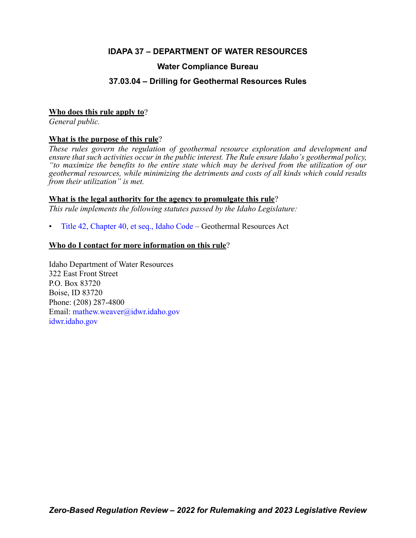# **IDAPA 37 – DEPARTMENT OF WATER RESOURCES**

# **Water Compliance Bureau**

# **37.03.04 – Drilling for Geothermal Resources Rules**

## **Who does this rule apply to**?

*General public.*

# **What is the purpose of this rule**?

*These rules govern the regulation of geothermal resource exploration and development and ensure that such activities occur in the public interest. The Rule ensure Idaho's geothermal policy, "to maximize the benefits to the entire state which may be derived from the utilization of our geothermal resources, while minimizing the detriments and costs of all kinds which could results from their utilization" is met.*

# **What is the legal authority for the agency to promulgate this rule**?

*This rule implements the following statutes passed by the Idaho Legislature:*

• [Title 42, Chapter 40, et seq., Idaho Code](https://legislature.idaho.gov/statutesrules/idstat/Title42/T42CH40/) – Geothermal Resources Act

# **Who do I contact for more information on this rule**?

Idaho Department of Water Resources 322 East Front Street P.O. Box 83720 Boise, ID 83720 Phone: (208) 287-4800 Email[: mathew.weaver@idwr.idaho.gov](mailto: mathew.weaver@idwr.idaho.gov) [idwr.idaho.gov](https://.idwr.idaho.gov)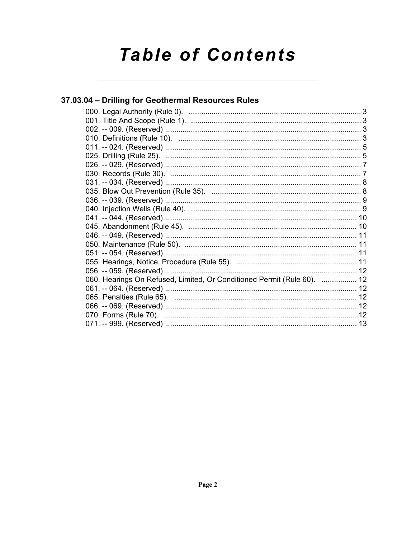# **Table of Contents**

# 37.03.04 - Drilling for Geothermal Resources Rules

| 060. Hearings On Refused, Limited, Or Conditioned Permit (Rule 60).  12 |  |
|-------------------------------------------------------------------------|--|
|                                                                         |  |
|                                                                         |  |
|                                                                         |  |
|                                                                         |  |
|                                                                         |  |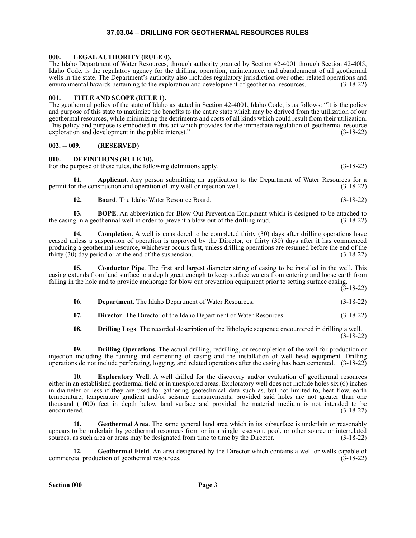### **37.03.04 – DRILLING FOR GEOTHERMAL RESOURCES RULES**

### <span id="page-2-1"></span><span id="page-2-0"></span>**000. LEGAL AUTHORITY (RULE 0).**

The Idaho Department of Water Resources, through authority granted by Section 42-4001 through Section 42-40l5, Idaho Code, is the regulatory agency for the drilling, operation, maintenance, and abandonment of all geothermal wells in the state. The Department's authority also includes regulatory jurisdiction over other related operations and environmental hazards pertaining to the exploration and development of geothermal resources. (3-18-22)

### <span id="page-2-2"></span>**001. TITLE AND SCOPE (RULE 1).**

The geothermal policy of the state of Idaho as stated in Section 42-4001, Idaho Code, is as follows: "It is the policy and purpose of this state to maximize the benefits to the entire state which may be derived from the utilization of our geothermal resources, while minimizing the detriments and costs of all kinds which could result from their utilization. This policy and purpose is embodied in this act which provides for the immediate regulation of geothermal resource exploration and development in the public interest." (3-18-22)

### <span id="page-2-3"></span>**002. -- 009. (RESERVED)**

### <span id="page-2-4"></span>**010. DEFINITIONS (RULE 10).**

For the purpose of these rules, the following definitions apply. (3-18-22)

**01. Applicant**. Any person submitting an application to the Department of Water Resources for a or the construction and operation of any well or injection well. (3-18-22) permit for the construction and operation of any well or injection well.

**02. Board**. The Idaho Water Resource Board. (3-18-22)

**03. BOPE**. An abbreviation for Blow Out Prevention Equipment which is designed to be attached to the casing in a geothermal well in order to prevent a blow out of the drilling mud. (3-18-22)

**04.** Completion. A well is considered to be completed thirty (30) days after drilling operations have ceased unless a suspension of operation is approved by the Director, or thirty (30) days after it has commenced producing a geothermal resource, whichever occurs first, unless drilling operations are resumed before the end of the thirty (30) day period or at the end of the suspension. (3-18-22)

**05. Conductor Pipe**. The first and largest diameter string of casing to be installed in the well. This casing extends from land surface to a depth great enough to keep surface waters from entering and loose earth from falling in the hole and to provide anchorage for blow out prevention equipment prior to setting surface casing.

 $(3-18-22)$ 

**06. Department**. The Idaho Department of Water Resources. (3-18-22)

**07. Director**. The Director of the Idaho Department of Water Resources. (3-18-22)

**08. Drilling Logs**. The recorded description of the lithologic sequence encountered in drilling a well. (3-18-22)

**09. Drilling Operations**. The actual drilling, redrilling, or recompletion of the well for production or injection including the running and cementing of casing and the installation of well head equipment. Drilling operations do not include perforating, logging, and related operations after the casing has been cemented. (3-18-22)

**10. Exploratory Well**. A well drilled for the discovery and/or evaluation of geothermal resources either in an established geothermal field or in unexplored areas. Exploratory well does not include holes six (6) inches in diameter or less if they are used for gathering geotechnical data such as, but not limited to, heat flow, earth temperature, temperature gradient and/or seismic measurements, provided said holes are not greater than one thousand (1000) feet in depth below land surface and provided the material medium is not intended to be encountered. (3-18-22)

**11. Geothermal Area**. The same general land area which in its subsurface is underlain or reasonably appears to be underlain by geothermal resources from or in a single reservoir, pool, or other source or interrelated sources, as such area or areas may be designated from time to time by the Director. (3-18-22)

**12. Geothermal Field**. An area designated by the Director which contains a well or wells capable of commercial production of geothermal resources. (3-18-22)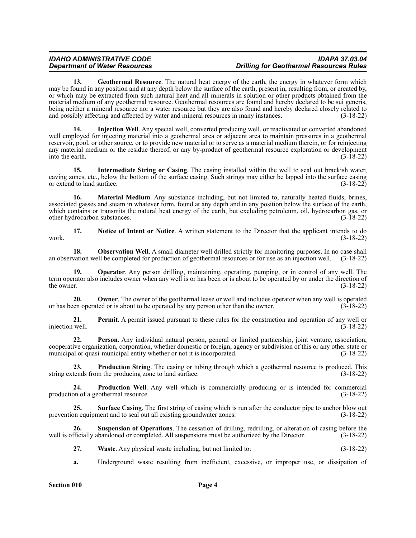### *IDAHO ADMINISTRATIVE CODE IDAPA 37.03.04 Department of Water Resources Drilling for Geothermal Resources Rules*

**13. Geothermal Resource**. The natural heat energy of the earth, the energy in whatever form which may be found in any position and at any depth below the surface of the earth, present in, resulting from, or created by, or which may be extracted from such natural heat and all minerals in solution or other products obtained from the material medium of any geothermal resource. Geothermal resources are found and hereby declared to be sui generis, being neither a mineral resource nor a water resource but they are also found and hereby declared closely related to and possibly affecting and affected by water and mineral resources in many instances. (3-18-22)

**14. Injection Well**. Any special well, converted producing well, or reactivated or converted abandoned well employed for injecting material into a geothermal area or adjacent area to maintain pressures in a geothermal reservoir, pool, or other source, or to provide new material or to serve as a material medium therein, or for reinjecting any material medium or the residue thereof, or any by-product of geothermal resource exploration or development into the earth. (3-18-22)

**15. Intermediate String or Casing**. The casing installed within the well to seal out brackish water, caving zones, etc., below the bottom of the surface casing. Such strings may either be lapped into the surface casing or extend to land surface. (3-18-22)

**16. Material Medium**. Any substance including, but not limited to, naturally heated fluids, brines, associated gasses and steam in whatever form, found at any depth and in any position below the surface of the earth, which contains or transmits the natural heat energy of the earth, but excluding petroleum, oil, hydrocarbon gas, or other hydrocarbon substances. (3-18-22)

**17. Notice of Intent or Notice**. A written statement to the Director that the applicant intends to do work.  $(3-18-22)$ 

**18. Observation Well**. A small diameter well drilled strictly for monitoring purposes. In no case shall an observation well be completed for production of geothermal resources or for use as an injection well. (3-18-22)

**19. Operator**. Any person drilling, maintaining, operating, pumping, or in control of any well. The term operator also includes owner when any well is or has been or is about to be operated by or under the direction of the owner. (3-18-22) the owner.  $(3-18-22)$ 

**20. Owner**. The owner of the geothermal lease or well and includes operator when any well is operated or has been operated or is about to be operated by any person other than the owner. (3-18-22)

**21. Permit**. A permit issued pursuant to these rules for the construction and operation of any well or well.  $(3-18-22)$ injection well.

**22. Person**. Any individual natural person, general or limited partnership, joint venture, association, cooperative organization, corporation, whether domestic or foreign, agency or subdivision of this or any other state or municipal or quasi-municipal entity whether or not it is incorporated. (3-18-22)

**23. Production String**. The casing or tubing through which a geothermal resource is produced. This string extends from the producing zone to land surface. (3-18-22)

**24. Production Well**. Any well which is commercially producing or is intended for commercial production of a geothermal resource. (3-18-22)

**25. Surface Casing**. The first string of casing which is run after the conductor pipe to anchor blow out on equipment and to seal out all existing groundwater zones. (3-18-22) prevention equipment and to seal out all existing groundwater zones.

**26. Suspension of Operations**. The cessation of drilling, redrilling, or alteration of casing before the well is officially abandoned or completed. All suspensions must be authorized by the Director. (3-18-22)

**27. Waste**. Any physical waste including, but not limited to: (3-18-22)

**a.** Underground waste resulting from inefficient, excessive, or improper use, or dissipation of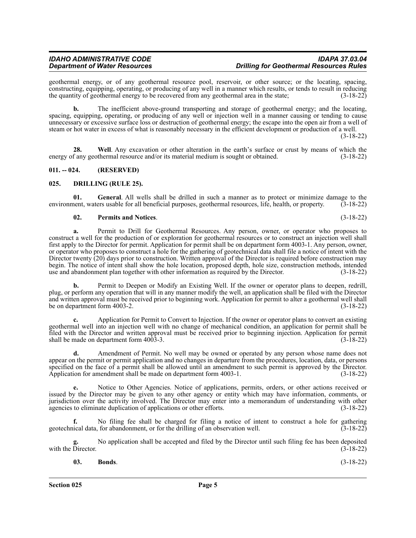geothermal energy, or of any geothermal resource pool, reservoir, or other source; or the locating, spacing, constructing, equipping, operating, or producing of any well in a manner which results, or tends to result in reducing the quantity of geothermal energy to be recovered from any geothermal area in the state; (3-18-22)

**b.** The inefficient above-ground transporting and storage of geothermal energy; and the locating, spacing, equipping, operating, or producing of any well or injection well in a manner causing or tending to cause unnecessary or excessive surface loss or destruction of geothermal energy; the escape into the open air from a well of steam or hot water in excess of what is reasonably necessary in the efficient development or production of a well.

(3-18-22)

**28. Well**. Any excavation or other alteration in the earth's surface or crust by means of which the energy of any geothermal resource and/or its material medium is sought or obtained. (3-18-22)

### <span id="page-4-0"></span>**011. -- 024. (RESERVED)**

### <span id="page-4-1"></span>**025. DRILLING (RULE 25).**

**01. General**. All wells shall be drilled in such a manner as to protect or minimize damage to the environment, waters usable for all beneficial purposes, geothermal resources, life, health, or property. (3-18-22)

### **02. Permits and Notices**. (3-18-22)

**a.** Permit to Drill for Geothermal Resources. Any person, owner, or operator who proposes to construct a well for the production of or exploration for geothermal resources or to construct an injection well shall first apply to the Director for permit. Application for permit shall be on department form 4003-1. Any person, owner, or operator who proposes to construct a hole for the gathering of geotechnical data shall file a notice of intent with the Director twenty (20) days prior to construction. Written approval of the Director is required before construction may begin. The notice of intent shall show the hole location, proposed depth, hole size, construction methods, intended use and abandonment plan together with other information as required by the Director. (3-18-22)

**b.** Permit to Deepen or Modify an Existing Well. If the owner or operator plans to deepen, redrill, plug, or perform any operation that will in any manner modify the well, an application shall be filed with the Director and written approval must be received prior to beginning work. Application for permit to alter a geothermal well shall be on department form 4003-2.  $(3-18-22)$ 

**c.** Application for Permit to Convert to Injection. If the owner or operator plans to convert an existing geothermal well into an injection well with no change of mechanical condition, an application for permit shall be filed with the Director and written approval must be received prior to beginning injection. Application for permit shall be made on department form 4003-3. (3-18-22)

**d.** Amendment of Permit. No well may be owned or operated by any person whose name does not appear on the permit or permit application and no changes in departure from the procedures, location, data, or persons specified on the face of a permit shall be allowed until an amendment to such permit is approved by the Director.<br>Application for amendment shall be made on department form 4003-1. (3-18-22) Application for amendment shall be made on department form  $4003-1$ .

**e.** Notice to Other Agencies. Notice of applications, permits, orders, or other actions received or issued by the Director may be given to any other agency or entity which may have information, comments, or jurisdiction over the activity involved. The Director may enter into a memorandum of understanding with other agencies to eliminate duplication of applications or other efforts. (3-18-22)

**f.** No filing fee shall be charged for filing a notice of intent to construct a hole for gathering geotechnical data, for abandonment, or for the drilling of an observation well. (3-18-22)

No application shall be accepted and filed by the Director until such filing fee has been deposited (3-18-22) with the Director.

| 03. | Bonds. | $(3-18-22)$ |
|-----|--------|-------------|
|     |        |             |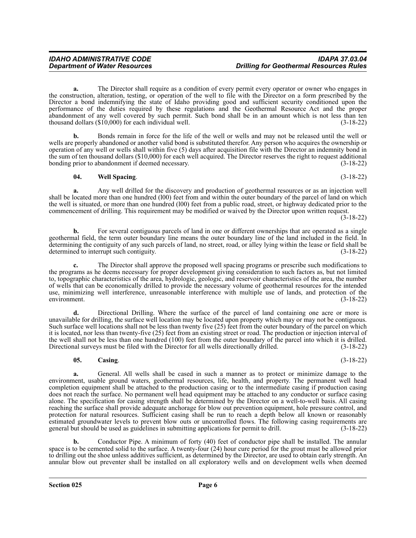**a.** The Director shall require as a condition of every permit every operator or owner who engages in the construction, alteration, testing, or operation of the well to file with the Director on a form prescribed by the Director a bond indemnifying the state of Idaho providing good and sufficient security conditioned upon the performance of the duties required by these regulations and the Geothermal Resource Act and the proper abandonment of any well covered by such permit. Such bond shall be in an amount which is not less than ten thousand dollars (\$10,000) for each individual well. (3-18-22) thousand dollars  $(\$10,000)$  for each individual well.

**b.** Bonds remain in force for the life of the well or wells and may not be released until the well or wells are properly abandoned or another valid bond is substituted therefor. Any person who acquires the ownership or operation of any well or wells shall within five (5) days after acquisition file with the Director an indemnity bond in the sum of ten thousand dollars (\$10,000) for each well acquired. The Director reserves the right to request additional<br>(3-18-22) onding prior to abandonment if deemed necessary. bonding prior to abandonment if deemed necessary.

### **04. Well Spacing**. (3-18-22)

**a.** Any well drilled for the discovery and production of geothermal resources or as an injection well shall be located more than one hundred (l00) feet from and within the outer boundary of the parcel of land on which the well is situated, or more than one hundred (l00) feet from a public road, street, or highway dedicated prior to the commencement of drilling. This requirement may be modified or waived by the Director upon written request.

(3-18-22)

**b.** For several contiguous parcels of land in one or different ownerships that are operated as a single geothermal field, the term outer boundary line means the outer boundary line of the land included in the field. In determining the contiguity of any such parcels of land, no street, road, or alley lying within the lease or field shall be determined to interrupt such contiguity. (3-18-22)

**c.** The Director shall approve the proposed well spacing programs or prescribe such modifications to the programs as he deems necessary for proper development giving consideration to such factors as, but not limited to, topographic characteristics of the area, hydrologic, geologic, and reservoir characteristics of the area, the number of wells that can be economically drilled to provide the necessary volume of geothermal resources for the intended use, minimizing well interference, unreasonable interference with multiple use of lands, and protection of the environment. (3-18-22)

**d.** Directional Drilling. Where the surface of the parcel of land containing one acre or more is unavailable for drilling, the surface well location may be located upon property which may or may not be contiguous. Such surface well locations shall not be less than twenty five (25) feet from the outer boundary of the parcel on which it is located, nor less than twenty-five (25) feet from an existing street or road. The production or injection interval of the well shall not be less than one hundred (100) feet from the outer boundary of the parcel into which it is drilled.<br>Directional surveys must be filed with the Director for all wells directionally drilled. (3-18-22) Directional surveys must be filed with the Director for all wells directionally drilled.

### **05. Casing**. (3-18-22)

**a.** General. All wells shall be cased in such a manner as to protect or minimize damage to the environment, usable ground waters, geothermal resources, life, health, and property. The permanent well head completion equipment shall be attached to the production casing or to the intermediate casing if production casing does not reach the surface. No permanent well head equipment may be attached to any conductor or surface casing alone. The specification for casing strength shall be determined by the Director on a well-to-well basis. All casing reaching the surface shall provide adequate anchorage for blow out prevention equipment, hole pressure control, and protection for natural resources. Sufficient casing shall be run to reach a depth below all known or reasonably estimated groundwater levels to prevent blow outs or uncontrolled flows. The following casing requirements are general but should be used as guidelines in submitting applications for permit to drill. (3-18-22)

**b.** Conductor Pipe. A minimum of forty (40) feet of conductor pipe shall be installed. The annular space is to be cemented solid to the surface. A twenty-four  $(24)$  hour cure period for the grout must be allowed prior to drilling out the shoe unless additives sufficient, as determined by the Director, are used to obtain early strength. An annular blow out preventer shall be installed on all exploratory wells and on development wells when deemed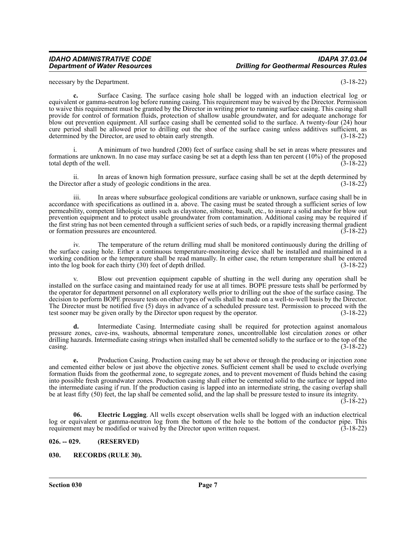### *IDAHO ADMINISTRATIVE CODE IDAPA 37.03.04 Department of Water Resources Drilling for Geothermal Resources Rules*

necessary by the Department. (3-18-22)

**c.** Surface Casing. The surface casing hole shall be logged with an induction electrical log or equivalent or gamma-neutron log before running casing. This requirement may be waived by the Director. Permission to waive this requirement must be granted by the Director in writing prior to running surface casing. This casing shall provide for control of formation fluids, protection of shallow usable groundwater, and for adequate anchorage for blow out prevention equipment. All surface casing shall be cemented solid to the surface. A twenty-four (24) hour cure period shall be allowed prior to drilling out the shoe of the surface casing unless additives sufficient, as determined by the Director, are used to obtain early strength. (3-18-22)

i. A minimum of two hundred (200) feet of surface casing shall be set in areas where pressures and formations are unknown. In no case may surface casing be set at a depth less than ten percent (10%) of the proposed total depth of the well.

ii. In areas of known high formation pressure, surface casing shall be set at the depth determined by tor after a study of geologic conditions in the area. (3-18-22) the Director after a study of geologic conditions in the area.

iii. In areas where subsurface geological conditions are variable or unknown, surface casing shall be in accordance with specifications as outlined in a. above. The casing must be seated through a sufficient series of low permeability, competent lithologic units such as claystone, siltstone, basalt, etc., to insure a solid anchor for blow out prevention equipment and to protect usable groundwater from contamination. Additional casing may be required if the first string has not been cemented through a sufficient series of such beds, or a rapidly increasing thermal gradient or formation pressures are encountered. (3-18-22) or formation pressures are encountered.

iv. The temperature of the return drilling mud shall be monitored continuously during the drilling of the surface casing hole. Either a continuous temperature-monitoring device shall be installed and maintained in a working condition or the temperature shall be read manually. In either case, the return temperature shall be entered<br>into the log book for each thirty (30) feet of depth drilled. (3-18-22) into the  $log$  book for each thirty  $(30)$  feet of depth drilled.

Blow out prevention equipment capable of shutting in the well during any operation shall be installed on the surface casing and maintained ready for use at all times. BOPE pressure tests shall be performed by the operator for department personnel on all exploratory wells prior to drilling out the shoe of the surface casing. The decision to perform BOPE pressure tests on other types of wells shall be made on a well-to-well basis by the Director. The Director must be notified five (5) days in advance of a scheduled pressure test. Permission to proceed with the test sooner may be given orally by the Director upon request by the operator. (3-18-22)

**d.** Intermediate Casing. Intermediate casing shall be required for protection against anomalous pressure zones, cave-ins, washouts, abnormal temperature zones, uncontrollable lost circulation zones or other drilling hazards. Intermediate casing strings when installed shall be cemented solidly to the surface or to the top of the  $\cos\left(3\text{-}18\text{-}22\right)$  (3-18-22)

**e.** Production Casing. Production casing may be set above or through the producing or injection zone and cemented either below or just above the objective zones. Sufficient cement shall be used to exclude overlying formation fluids from the geothermal zone, to segregate zones, and to prevent movement of fluids behind the casing into possible fresh groundwater zones. Production casing shall either be cemented solid to the surface or lapped into the intermediate casing if run. If the production casing is lapped into an intermediate string, the casing overlap shall be at least fifty (50) feet, the lap shall be cemented solid, and the lap shall be pressure tested to insure its integrity.

(3-18-22)

**06. Electric Logging**. All wells except observation wells shall be logged with an induction electrical log or equivalent or gamma-neutron log from the bottom of the hole to the bottom of the conductor pipe. This requirement may be modified or waived by the Director upon written request. (3-18-22)

### <span id="page-6-0"></span>**026. -- 029. (RESERVED)**

### <span id="page-6-1"></span>**030. RECORDS (RULE 30).**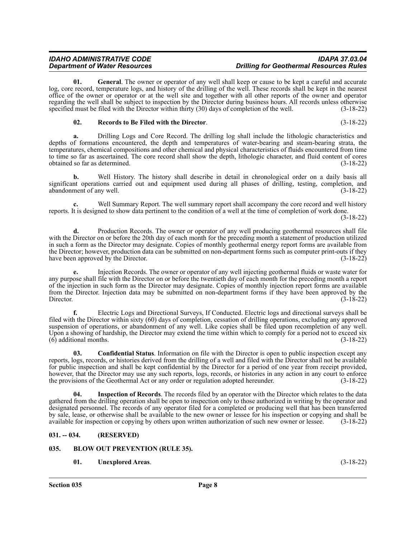**01. General**. The owner or operator of any well shall keep or cause to be kept a careful and accurate log, core record, temperature logs, and history of the drilling of the well. These records shall be kept in the nearest office of the owner or operator or at the well site and together with all other reports of the owner and operator regarding the well shall be subject to inspection by the Director during business hours. All records unless otherwise specified must be filed with the Director within thirty (30) days of completion of the well. (3-18-22)

### **02. Records to Be Filed with the Director**. (3-18-22)

**a.** Drilling Logs and Core Record. The drilling log shall include the lithologic characteristics and depths of formations encountered, the depth and temperatures of water-bearing and steam-bearing strata, the temperatures, chemical compositions and other chemical and physical characteristics of fluids encountered from time to time so far as ascertained. The core record shall show the depth, lithologic character, and fluid content of cores obtained so far as determined. (3-18-22) obtained so far as determined.

**b.** Well History. The history shall describe in detail in chronological order on a daily basis all significant operations carried out and equipment used during all phases of drilling, testing, completion, and abandonment of any well. (3-18-22) abandonment of any well.

**c.** Well Summary Report. The well summary report shall accompany the core record and well history reports. It is designed to show data pertinent to the condition of a well at the time of completion of work done.

(3-18-22)

**d.** Production Records. The owner or operator of any well producing geothermal resources shall file with the Director on or before the 20th day of each month for the preceding month a statement of production utilized in such a form as the Director may designate. Copies of monthly geothermal energy report forms are available from the Director; however, production data can be submitted on non-department forms such as computer print-outs if they have been approved by the Director. (3-18-22)

**e.** Injection Records. The owner or operator of any well injecting geothermal fluids or waste water for any purpose shall file with the Director on or before the twentieth day of each month for the preceding month a report of the injection in such form as the Director may designate. Copies of monthly injection report forms are available from the Director. Injection data may be submitted on non-department forms if they have been approved by the Director. (3-18-22)

**f.** Electric Logs and Directional Surveys, If Conducted. Electric logs and directional surveys shall be filed with the Director within sixty (60) days of completion, cessation of drilling operations, excluding any approved suspension of operations, or abandonment of any well. Like copies shall be filed upon recompletion of any well. Upon a showing of hardship, the Director may extend the time within which to comply for a period not to exceed six (6) additional months. (3-18-22)

**03. Confidential Status**. Information on file with the Director is open to public inspection except any reports, logs, records, or histories derived from the drilling of a well and filed with the Director shall not be available for public inspection and shall be kept confidential by the Director for a period of one year from receipt provided, however, that the Director may use any such reports, logs, records, or histories in any action in any court to enforce the provisions of the Geothermal Act or any order or regulation adopted hereunder. (3-18-22)

**Inspection of Records.** The records filed by an operator with the Director which relates to the data gathered from the drilling operation shall be open to inspection only to those authorized in writing by the operator and designated personnel. The records of any operator filed for a completed or producing well that has been transferred by sale, lease, or otherwise shall be available to the new owner or lessee for his inspection or copying and shall be available for inspection or copying by others upon written authorization of such new owner or lessee. (3-18-22)

### <span id="page-7-0"></span>**031. -- 034. (RESERVED)**

### <span id="page-7-1"></span>**035. BLOW OUT PREVENTION (RULE 35).**

**01. Unexplored Areas**. (3-18-22)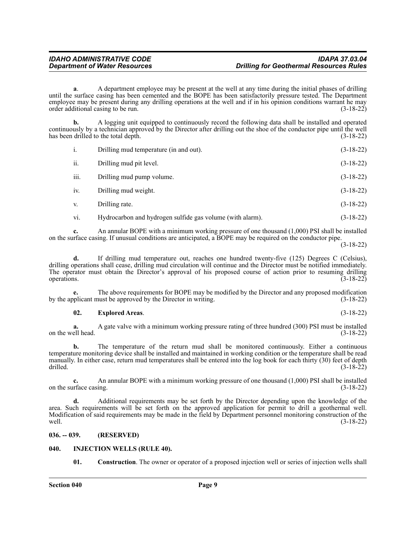**a**. A department employee may be present at the well at any time during the initial phases of drilling until the surface casing has been cemented and the BOPE has been satisfactorily pressure tested. The Department employee may be present during any drilling operations at the well and if in his opinion conditions warrant he may order additional casing to be run. (3-18-22)

**b.** A logging unit equipped to continuously record the following data shall be installed and operated continuously by a technician approved by the Director after drilling out the shoe of the conductor pipe until the well has been drilled to the total depth. (3-18-22)

| i.   | Drilling mud temperature (in and out).                    | $(3-18-22)$ |
|------|-----------------------------------------------------------|-------------|
| ii.  | Drilling mud pit level.                                   | $(3-18-22)$ |
| iii. | Drilling mud pump volume.                                 | $(3-18-22)$ |
| iv.  | Drilling mud weight.                                      | $(3-18-22)$ |
| V.   | Drilling rate.                                            | $(3-18-22)$ |
| vi.  | Hydrocarbon and hydrogen sulfide gas volume (with alarm). | $(3-18-22)$ |

**c.** An annular BOPE with a minimum working pressure of one thousand (1,000) PSI shall be installed on the surface casing. If unusual conditions are anticipated, a BOPE may be required on the conductor pipe.

(3-18-22)

**d.** If drilling mud temperature out, reaches one hundred twenty-five (125) Degrees C (Celsius), drilling operations shall cease, drilling mud circulation will continue and the Director must be notified immediately. The operator must obtain the Director's approval of his proposed course of action prior to resuming drilling operations. (3-18-22)

**e.** The above requirements for BOPE may be modified by the Director and any proposed modification by the applicant must be approved by the Director in writing. (3-18-22)

### **02. Explored Areas**. (3-18-22)

**a.** A gate valve with a minimum working pressure rating of three hundred (300) PSI must be installed on the well head. (3-18-22)

**b.** The temperature of the return mud shall be monitored continuously. Either a continuous temperature monitoring device shall be installed and maintained in working condition or the temperature shall be read manually. In either case, return mud temperatures shall be entered into the log book for each thirty (30) feet of depth drilled. (3-18-22)

**c.** An annular BOPE with a minimum working pressure of one thousand (1,000) PSI shall be installed urface casing. (3-18-22) on the surface casing.

**d.** Additional requirements may be set forth by the Director depending upon the knowledge of the area. Such requirements will be set forth on the approved application for permit to drill a geothermal well. Modification of said requirements may be made in the field by Department personnel monitoring construction of the well. (3-18-22)

### <span id="page-8-0"></span>**036. -- 039. (RESERVED)**

### <span id="page-8-1"></span>**040. INJECTION WELLS (RULE 40).**

**01. Construction**. The owner or operator of a proposed injection well or series of injection wells shall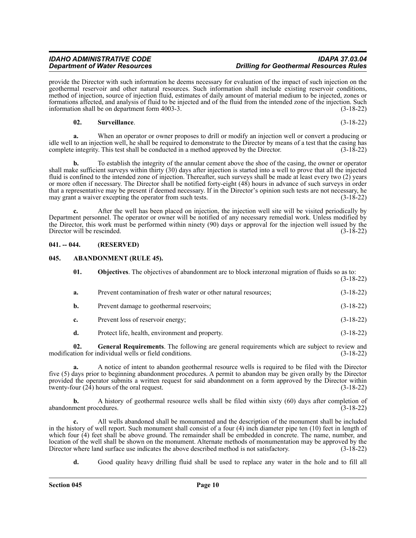provide the Director with such information he deems necessary for evaluation of the impact of such injection on the geothermal reservoir and other natural resources. Such information shall include existing reservoir conditions, method of injection, source of injection fluid, estimates of daily amount of material medium to be injected, zones or formations affected, and analysis of fluid to be injected and of the fluid from the intended zone of the injection. Such information shall be on department form 4003-3. (3-18-22)

### **02. Surveillance**. (3-18-22)

**a.** When an operator or owner proposes to drill or modify an injection well or convert a producing or idle well to an injection well, he shall be required to demonstrate to the Director by means of a test that the casing has complete integrity. This test shall be conducted in a method approved by the Director. (3-18-22) complete integrity. This test shall be conducted in a method approved by the Director.

**b.** To establish the integrity of the annular cement above the shoe of the casing, the owner or operator shall make sufficient surveys within thirty (30) days after injection is started into a well to prove that all the injected fluid is confined to the intended zone of injection. Thereafter, such surveys shall be made at least every two (2) years or more often if necessary. The Director shall be notified forty-eight (48) hours in advance of such surveys in order that a representative may be present if deemed necessary. If in the Director's opinion such tests are not necessary, he may grant a waiver excepting the operator from such tests. (3-18-22)

**c.** After the well has been placed on injection, the injection well site will be visited periodically by Department personnel. The operator or owner will be notified of any necessary remedial work. Unless modified by the Director, this work must be performed within ninety (90) days or approval for the injection well issued by the Director will be rescinded. (3-18-22) Director will be rescinded.

### <span id="page-9-0"></span>**041. -- 044. (RESERVED)**

### <span id="page-9-1"></span>**045. ABANDONMENT (RULE 45).**

| 01. | <b>Objectives</b> . The objectives of abandonment are to block interzonal migration of fluids so as to: |             |
|-----|---------------------------------------------------------------------------------------------------------|-------------|
| a.  | Prevent contamination of fresh water or other natural resources;                                        | $(3-18-22)$ |
| b.  | Prevent damage to geothermal reservoirs;                                                                | $(3-18-22)$ |
| c.  | Prevent loss of reservoir energy;                                                                       | $(3-18-22)$ |
| d.  | Protect life, health, environment and property.                                                         | $(3-18-22)$ |
|     |                                                                                                         |             |

**02. General Requirements**. The following are general requirements which are subject to review and modification for individual wells or field conditions. (3-18-22)

**a.** A notice of intent to abandon geothermal resource wells is required to be filed with the Director five (5) days prior to beginning abandonment procedures. A permit to abandon may be given orally by the Director provided the operator submits a written request for said abandonment on a form approved by the Director within twenty-four (24) hours of the oral request. (3-18-22) twenty-four  $(2\overline{4})$  hours of the oral request.

**b.** A history of geothermal resource wells shall be filed within sixty (60) days after completion of abandonment procedures. (3-18-22)

**c.** All wells abandoned shall be monumented and the description of the monument shall be included in the history of well report. Such monument shall consist of a four (4) inch diameter pipe ten (10) feet in length of which four  $(4)$  feet shall be above ground. The remainder shall be embedded in concrete. The name, number, and location of the well shall be shown on the monument. Alternate methods of monumentation may be approved by the<br>Director where land surface use indicates the above described method is not satisfactory. (3-18-22) Director where land surface use indicates the above described method is not satisfactory.

**d.** Good quality heavy drilling fluid shall be used to replace any water in the hole and to fill all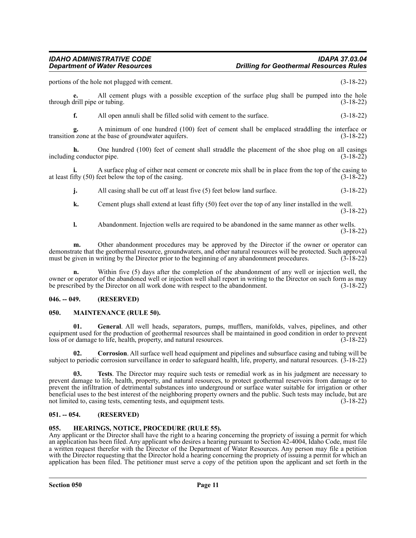portions of the hole not plugged with cement. (3-18-22)

**e.** All cement plugs with a possible exception of the surface plug shall be pumped into the hole through drill pipe or tubing.

**f.** All open annuli shall be filled solid with cement to the surface.  $(3-18-22)$ 

**g.** A minimum of one hundred (100) feet of cement shall be emplaced straddling the interface or transition zone at the base of groundwater aquifers. (3-18-22)

**h.** One hundred (100) feet of cement shall straddle the placement of the shoe plug on all casings including conductor pipe. (3-18-22)

**i.** A surface plug of either neat cement or concrete mix shall be in place from the top of the casing to at least fifty (50) feet below the top of the casing. (3-18-22)

**j.** All casing shall be cut off at least five (5) feet below land surface. (3-18-22)

**k.** Cement plugs shall extend at least fifty (50) feet over the top of any liner installed in the well. (3-18-22)

**l.** Abandonment. Injection wells are required to be abandoned in the same manner as other wells. (3-18-22)

**m.** Other abandonment procedures may be approved by the Director if the owner or operator can demonstrate that the geothermal resource, groundwaters, and other natural resources will be protected. Such approval must be given in writing by the Director prior to the beginning of any abandonment procedures. (3-18-22)

**n.** Within five (5) days after the completion of the abandonment of any well or injection well, the owner or operator of the abandoned well or injection well shall report in writing to the Director on such form as may<br>be prescribed by the Director on all work done with respect to the abandonment. (3-18-22) be prescribed by the Director on all work done with respect to the abandonment.

### <span id="page-10-0"></span>**046. -- 049. (RESERVED)**

### <span id="page-10-1"></span>**050. MAINTENANCE (RULE 50).**

**01. General**. All well heads, separators, pumps, mufflers, manifolds, valves, pipelines, and other equipment used for the production of geothermal resources shall be maintained in good condition in order to prevent loss of or damage to life, health, property, and natural resources. (3-18-22)

**02. Corrosion**. All surface well head equipment and pipelines and subsurface casing and tubing will be subject to periodic corrosion surveillance in order to safeguard health, life, property, and natural resources. (3-18-22)

**03. Tests**. The Director may require such tests or remedial work as in his judgment are necessary to prevent damage to life, health, property, and natural resources, to protect geothermal reservoirs from damage or to prevent the infiltration of detrimental substances into underground or surface water suitable for irrigation or other beneficial uses to the best interest of the neighboring property owners and the public. Such tests may include, but are not limited to, casing tests, cementing tests, and equipment tests. (3-18-22)

### <span id="page-10-2"></span>**051. -- 054. (RESERVED)**

### <span id="page-10-3"></span>**055. HEARINGS, NOTICE, PROCEDURE (RULE 55).**

Any applicant or the Director shall have the right to a hearing concerning the propriety of issuing a permit for which an application has been filed. Any applicant who desires a hearing pursuant to Section 42-4004, Idaho Code, must file a written request therefor with the Director of the Department of Water Resources. Any person may file a petition with the Director requesting that the Director hold a hearing concerning the propriety of issuing a permit for which an application has been filed. The petitioner must serve a copy of the petition upon the applicant and set forth in the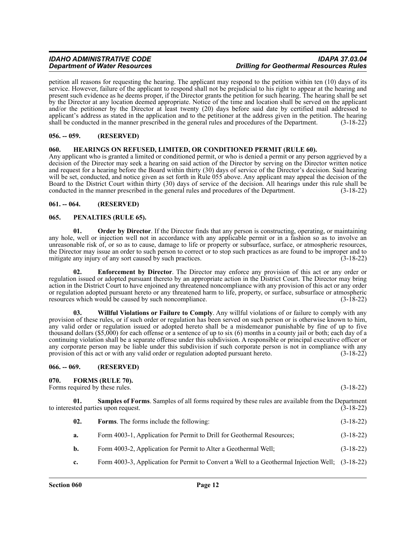petition all reasons for requesting the hearing. The applicant may respond to the petition within ten (10) days of its service. However, failure of the applicant to respond shall not be prejudicial to his right to appear at the hearing and present such evidence as he deems proper, if the Director grants the petition for such hearing. The hearing shall be set by the Director at any location deemed appropriate. Notice of the time and location shall be served on the applicant and/or the petitioner by the Director at least twenty (20) days before said date by certified mail addressed to applicant's address as stated in the application and to the petitioner at the address given in the petition. The hearing shall be conducted in the manner prescribed in the general rules and procedures of the Department. (3 shall be conducted in the manner prescribed in the general rules and procedures of the Department.

### <span id="page-11-0"></span>**056. -- 059. (RESERVED)**

### <span id="page-11-1"></span>**060. HEARINGS ON REFUSED, LIMITED, OR CONDITIONED PERMIT (RULE 60).**

Any applicant who is granted a limited or conditioned permit, or who is denied a permit or any person aggrieved by a decision of the Director may seek a hearing on said action of the Director by serving on the Director written notice and request for a hearing before the Board within thirty (30) days of service of the Director's decision. Said hearing will be set, conducted, and notice given as set forth in Rule 055 above. Any applicant may appeal the decision of the Board to the District Court within thirty (30) days of service of the decision. All hearings under this rule shall be conducted in the manner prescribed in the general rules and procedures of the Department. (3-18-22)

### <span id="page-11-2"></span>**061. -- 064. (RESERVED)**

### <span id="page-11-3"></span>**065. PENALTIES (RULE 65).**

**01. Order by Director**. If the Director finds that any person is constructing, operating, or maintaining any hole, well or injection well not in accordance with any applicable permit or in a fashion so as to involve an unreasonable risk of, or so as to cause, damage to life or property or subsurface, surface, or atmospheric resources, the Director may issue an order to such person to correct or to stop such practices as are found to be improper and to mitigate any injury of any sort caused by such practices. (3-18-22)

**02. Enforcement by Director**. The Director may enforce any provision of this act or any order or regulation issued or adopted pursuant thereto by an appropriate action in the District Court. The Director may bring action in the District Court to have enjoined any threatened noncompliance with any provision of this act or any order or regulation adopted pursuant hereto or any threatened harm to life, property, or surface, subsurface or atmospheric resources which would be caused by such noncompliance. (3-18-22)

**03. Willful Violations or Failure to Comply**. Any willful violations of or failure to comply with any provision of these rules, or if such order or regulation has been served on such person or is otherwise known to him, any valid order or regulation issued or adopted hereto shall be a misdemeanor punishable by fine of up to five thousand dollars (\$5,000) for each offense or a sentence of up to six (6) months in a county jail or both; each day of a continuing violation shall be a separate offense under this subdivision. A responsible or principal executive officer or any corporate person may be liable under this subdivision if such corporate person is not in compliance with any provision of this act or with any valid order or regulation adopted pursuant hereto. (3-18-22)

### <span id="page-11-4"></span>**066. -- 069. (RESERVED)**

<span id="page-11-5"></span>**070. FORMS (RULE 70).**

Forms required by these rules. (3-18-22)

**Samples of Forms**. Samples of all forms required by these rules are available from the Department to interested parties upon request. (3-18-22)

- **a.** Form 4003-1, Application for Permit to Drill for Geothermal Resources; (3-18-22)
- **b.** Form 4003-2, Application for Permit to Alter a Geothermal Well; (3-18-22)
- **c.** Form 4003-3, Application for Permit to Convert a Well to a Geothermal Injection Well; (3-18-22)